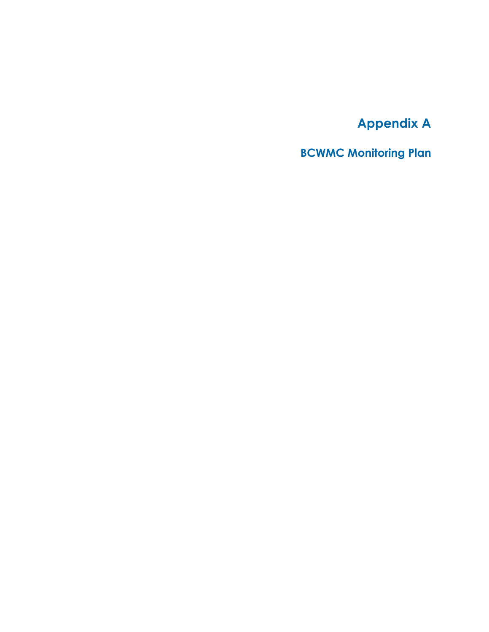**Appendix A**

**BCWMC Monitoring Plan**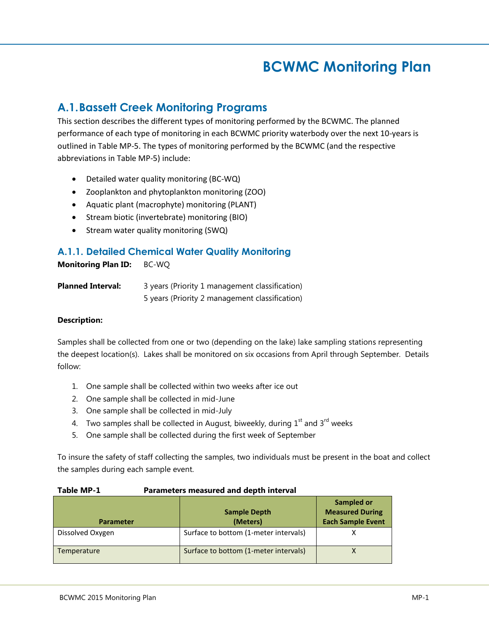# **BCWMC Monitoring Plan**

# **A.1.Bassett Creek Monitoring Programs**

This section describes the different types of monitoring performed by the BCWMC. The planned performance of each type of monitoring in each BCWMC priority waterbody over the next 10-years is outlined in Table MP-5. The types of monitoring performed by the BCWMC (and the respective abbreviations in Table MP-5) include:

- Detailed water quality monitoring (BC-WQ)
- Zooplankton and phytoplankton monitoring (ZOO)
- Aquatic plant (macrophyte) monitoring (PLANT)
- Stream biotic (invertebrate) monitoring (BIO)
- Stream water quality monitoring (SWQ)

# **A.1.1. Detailed Chemical Water Quality Monitoring**

**Monitoring Plan ID:** BC-WQ

**Planned Interval:** 3 years (Priority 1 management classification) 5 years (Priority 2 management classification)

### **Description:**

Samples shall be collected from one or two (depending on the lake) lake sampling stations representing the deepest location(s). Lakes shall be monitored on six occasions from April through September. Details follow:

- 1. One sample shall be collected within two weeks after ice out
- 2. One sample shall be collected in mid-June
- 3. One sample shall be collected in mid-July
- 4. Two samples shall be collected in August, biweekly, during  $1<sup>st</sup>$  and  $3<sup>rd</sup>$  weeks
- 5. One sample shall be collected during the first week of September

To insure the safety of staff collecting the samples, two individuals must be present in the boat and collect the samples during each sample event.

| Parameter        | <b>Sample Depth</b><br>(Meters)       | Sampled or<br><b>Measured During</b><br><b>Each Sample Event</b> |  |  |  |  |  |  |  |  |
|------------------|---------------------------------------|------------------------------------------------------------------|--|--|--|--|--|--|--|--|
| Dissolved Oxygen | Surface to bottom (1-meter intervals) |                                                                  |  |  |  |  |  |  |  |  |
| Temperature      | Surface to bottom (1-meter intervals) |                                                                  |  |  |  |  |  |  |  |  |

## **Table MP-1 Parameters measured and depth interval**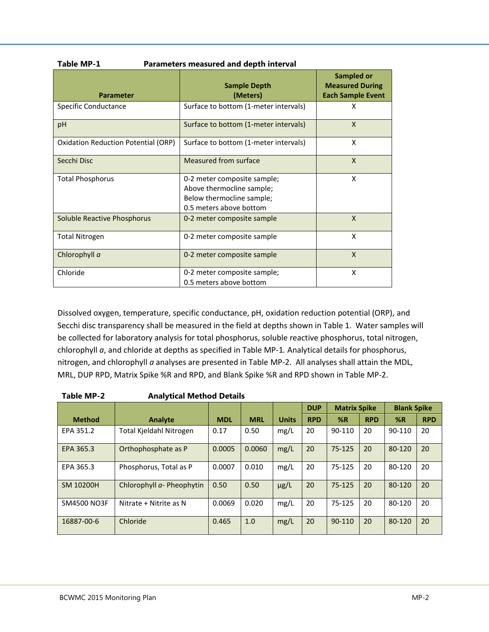| <b>Parameter</b>                           | <b>Sample Depth</b><br>(Meters)                                                                                  | Sampled or<br><b>Measured During</b><br><b>Each Sample Event</b> |
|--------------------------------------------|------------------------------------------------------------------------------------------------------------------|------------------------------------------------------------------|
| Specific Conductance                       | Surface to bottom (1-meter intervals)                                                                            | x                                                                |
| pH                                         | Surface to bottom (1-meter intervals)                                                                            | X                                                                |
| <b>Oxidation Reduction Potential (ORP)</b> | Surface to bottom (1-meter intervals)                                                                            | X                                                                |
| Secchi Disc                                | Measured from surface                                                                                            | X                                                                |
| <b>Total Phosphorus</b>                    | 0-2 meter composite sample;<br>Above thermocline sample;<br>Below thermocline sample;<br>0.5 meters above bottom | X                                                                |
| Soluble Reactive Phosphorus                | 0-2 meter composite sample                                                                                       | $\mathsf{x}$                                                     |
| <b>Total Nitrogen</b>                      | 0-2 meter composite sample                                                                                       | X                                                                |
| Chlorophyll a                              | 0-2 meter composite sample                                                                                       | $\mathsf{x}$                                                     |
| Chloride                                   | 0-2 meter composite sample;<br>0.5 meters above bottom                                                           | X                                                                |

Dissolved oxygen, temperature, specific conductance, pH, oxidation reduction potential (ORP), and Secchi disc transparency shall be measured in the field at depths shown in Table 1. Water samples will be collected for laboratory analysis for total phosphorus, soluble reactive phosphorus, total nitrogen, chlorophyll *a*, and chloride at depths as specified in Table MP-1*.* Analytical details for phosphorus, nitrogen, and chlorophyll *a* analyses are presented in Table MP-2. All analyses shall attain the MDL, MRL, DUP RPD, Matrix Spike %R and RPD, and Blank Spike %R and RPD shown in Table MP-2.

| Table MP-2         | <b>Analytical Method Details</b> |            |            |              |            |                     |            |                    |            |
|--------------------|----------------------------------|------------|------------|--------------|------------|---------------------|------------|--------------------|------------|
|                    |                                  |            |            |              | <b>DUP</b> | <b>Matrix Spike</b> |            | <b>Blank Spike</b> |            |
| <b>Method</b>      | Analyte                          | <b>MDL</b> | <b>MRL</b> | <b>Units</b> | <b>RPD</b> | %R                  | <b>RPD</b> | %R                 | <b>RPD</b> |
| EPA 351.2          | Total Kieldahl Nitrogen          | 0.17       | 0.50       | mg/L         | 20         | 90-110              | 20         | 90-110             | 20         |
| EPA 365.3          | Orthophosphate as P              | 0.0005     | 0.0060     | mg/L         | 20         | 75-125              | 20         | 80-120             | 20         |
| EPA 365.3          | Phosphorus, Total as P           | 0.0007     | 0.010      | mg/L         | 20         | 75-125              | 20         | 80-120             | 20         |
| SM 10200H          | Chlorophyll a- Pheophytin        | 0.50       | 0.50       | $\mu$ g/L    | 20         | 75-125              | 20         | 80-120             | 20         |
| <b>SM4500 NO3F</b> | Nitrate + Nitrite as N           | 0.0069     | 0.020      | mg/L         | 20         | 75-125              | 20         | 80-120             | 20         |
| 16887-00-6         | Chloride                         | 0.465      | 1.0        | mg/L         | 20         | 90-110              | 20         | 80-120             | 20         |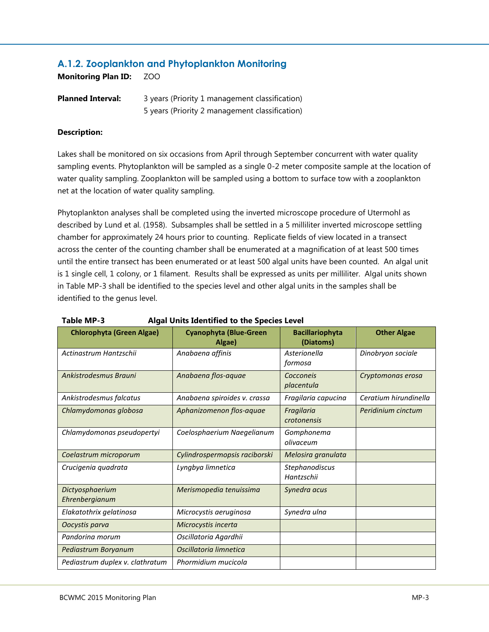# **A.1.2. Zooplankton and Phytoplankton Monitoring**

**Monitoring Plan ID:** ZOO

| <b>Planned Interval:</b> | 3 years (Priority 1 management classification) |
|--------------------------|------------------------------------------------|
|                          | 5 years (Priority 2 management classification) |

#### **Description:**

Lakes shall be monitored on six occasions from April through September concurrent with water quality sampling events. Phytoplankton will be sampled as a single 0-2 meter composite sample at the location of water quality sampling. Zooplankton will be sampled using a bottom to surface tow with a zooplankton net at the location of water quality sampling.

Phytoplankton analyses shall be completed using the inverted microscope procedure of Utermohl as described by Lund et al. (1958). Subsamples shall be settled in a 5 milliliter inverted microscope settling chamber for approximately 24 hours prior to counting. Replicate fields of view located in a transect across the center of the counting chamber shall be enumerated at a magnification of at least 500 times until the entire transect has been enumerated or at least 500 algal units have been counted. An algal unit is 1 single cell, 1 colony, or 1 filament. Results shall be expressed as units per milliliter. Algal units shown in Table MP-3 shall be identified to the species level and other algal units in the samples shall be identified to the genus level.

| I GMIC IVII                       | Algar Units Identified to the species Lever |                                     |                       |
|-----------------------------------|---------------------------------------------|-------------------------------------|-----------------------|
| <b>Chlorophyta (Green Algae)</b>  | <b>Cyanophyta (Blue-Green</b><br>Algae)     | <b>Bacillariophyta</b><br>(Diatoms) | <b>Other Algae</b>    |
| Actinastrum Hantzschii            | Anabaena affinis                            | Asterionella<br>formosa             | Dinobryon sociale     |
| Ankistrodesmus Brauni             | Anabaena flos-aquae                         | Cocconeis<br>placentula             | Cryptomonas erosa     |
| Ankistrodesmus falcatus           | Anabaena spiroides v. crassa                | Fragilaria capucina                 | Ceratium hirundinella |
| Chlamydomonas globosa             | Aphanizomenon flos-aquae                    | Fragilaria<br><i>crotonensis</i>    | Peridinium cinctum    |
| Chlamydomonas pseudopertyi        | Coelosphaerium Naegelianum                  | Gomphonema<br>olivaceum             |                       |
| Coelastrum microporum             | Cylindrospermopsis raciborski               | Melosira granulata                  |                       |
| Crucigenia quadrata               | Lyngbya limnetica                           | Stephanodiscus<br>Hantzschii        |                       |
| Dictyosphaerium<br>Ehrenbergianum | Merismopedia tenuissima                     | Synedra acus                        |                       |
| Elakatothrix gelatinosa           | Microcystis aeruginosa                      | Synedra ulna                        |                       |
| Oocystis parva                    | Microcystis incerta                         |                                     |                       |
| Pandorina morum                   | Oscillatoria Agardhii                       |                                     |                       |
| Pediastrum Boryanum               | Oscillatoria limnetica                      |                                     |                       |
| Pediastrum duplex v. clathratum   | Phormidium mucicola                         |                                     |                       |

| Table MP-3 | <b>Algal Units Identified to the Species Level</b> |
|------------|----------------------------------------------------|
|------------|----------------------------------------------------|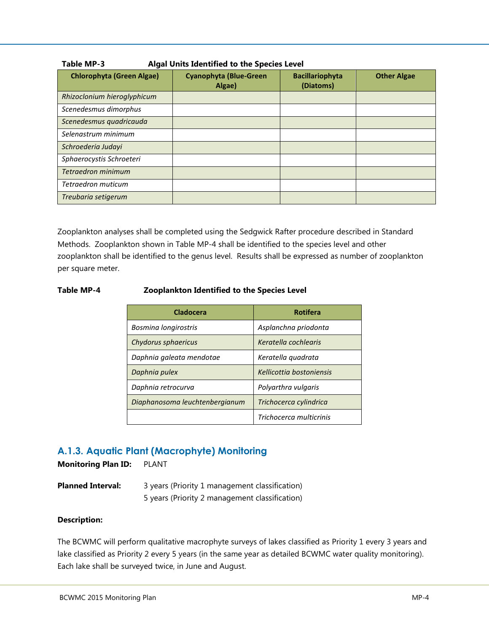| <b>Chlorophyta (Green Algae)</b> | <b>Cyanophyta (Blue-Green</b><br>Algae) | <b>Bacillariophyta</b><br>(Diatoms) | <b>Other Algae</b> |
|----------------------------------|-----------------------------------------|-------------------------------------|--------------------|
| Rhizoclonium hieroglyphicum      |                                         |                                     |                    |
| Scenedesmus dimorphus            |                                         |                                     |                    |
| Scenedesmus quadricauda          |                                         |                                     |                    |
| Selenastrum minimum              |                                         |                                     |                    |
| Schroederia Judayi               |                                         |                                     |                    |
| Sphaerocystis Schroeteri         |                                         |                                     |                    |
| <b>Tetraedron minimum</b>        |                                         |                                     |                    |
| <b>Tetraedron muticum</b>        |                                         |                                     |                    |
| Treubaria setigerum              |                                         |                                     |                    |

**Table MP-3 Algal Units Identified to the Species Level**

Zooplankton analyses shall be completed using the Sedgwick Rafter procedure described in Standard Methods. Zooplankton shown in Table MP-4 shall be identified to the species level and other zooplankton shall be identified to the genus level. Results shall be expressed as number of zooplankton per square meter.

## **Table MP-4 Zooplankton Identified to the Species Level**

| Cladocera                      | <b>Rotifera</b>          |
|--------------------------------|--------------------------|
| <b>Bosmina longirostris</b>    | Asplanchna priodonta     |
| Chydorus sphaericus            | Keratella cochlearis     |
| Daphnia galeata mendotae       | Keratella quadrata       |
| Daphnia pulex                  | Kellicottia bostoniensis |
| Daphnia retrocurva             | Polyarthra vulgaris      |
| Diaphanosoma leuchtenbergianum | Trichocerca cylindrica   |
|                                | Trichocerca multicrinis  |

## **A.1.3. Aquatic Plant (Macrophyte) Monitoring**

**Monitoring Plan ID:** PLANT

| <b>Planned Interval:</b> | 3 years (Priority 1 management classification) |
|--------------------------|------------------------------------------------|
|                          | 5 years (Priority 2 management classification) |

### **Description:**

The BCWMC will perform qualitative macrophyte surveys of lakes classified as Priority 1 every 3 years and lake classified as Priority 2 every 5 years (in the same year as detailed BCWMC water quality monitoring). Each lake shall be surveyed twice, in June and August.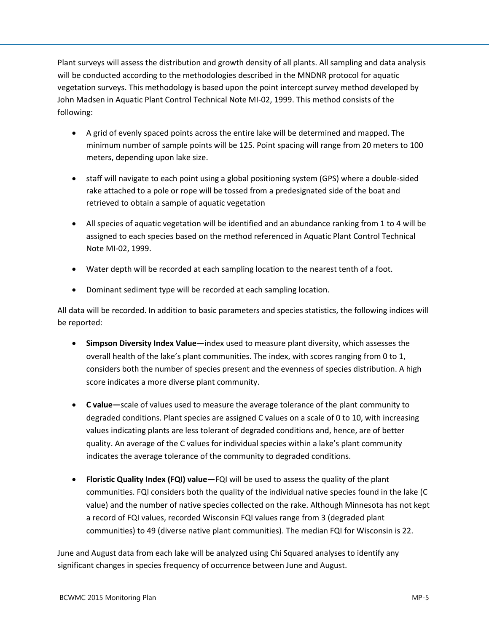Plant surveys will assess the distribution and growth density of all plants. All sampling and data analysis will be conducted according to the methodologies described in the MNDNR protocol for aquatic vegetation surveys. This methodology is based upon the point intercept survey method developed by John Madsen in Aquatic Plant Control Technical Note MI-02, 1999. This method consists of the following:

- A grid of evenly spaced points across the entire lake will be determined and mapped. The minimum number of sample points will be 125. Point spacing will range from 20 meters to 100 meters, depending upon lake size.
- staff will navigate to each point using a global positioning system (GPS) where a double-sided rake attached to a pole or rope will be tossed from a predesignated side of the boat and retrieved to obtain a sample of aquatic vegetation
- All species of aquatic vegetation will be identified and an abundance ranking from 1 to 4 will be assigned to each species based on the method referenced in Aquatic Plant Control Technical Note MI-02, 1999.
- Water depth will be recorded at each sampling location to the nearest tenth of a foot.
- Dominant sediment type will be recorded at each sampling location.

All data will be recorded. In addition to basic parameters and species statistics, the following indices will be reported:

- **Simpson Diversity Index Value**—index used to measure plant diversity, which assesses the overall health of the lake's plant communities. The index, with scores ranging from 0 to 1, considers both the number of species present and the evenness of species distribution. A high score indicates a more diverse plant community.
- **C value—**scale of values used to measure the average tolerance of the plant community to degraded conditions. Plant species are assigned C values on a scale of 0 to 10, with increasing values indicating plants are less tolerant of degraded conditions and, hence, are of better quality. An average of the C values for individual species within a lake's plant community indicates the average tolerance of the community to degraded conditions.
- **Floristic Quality Index (FQI) value—**FQI will be used to assess the quality of the plant communities. FQI considers both the quality of the individual native species found in the lake (C value) and the number of native species collected on the rake. Although Minnesota has not kept a record of FQI values, recorded Wisconsin FQI values range from 3 (degraded plant communities) to 49 (diverse native plant communities). The median FQI for Wisconsin is 22.

June and August data from each lake will be analyzed using Chi Squared analyses to identify any significant changes in species frequency of occurrence between June and August.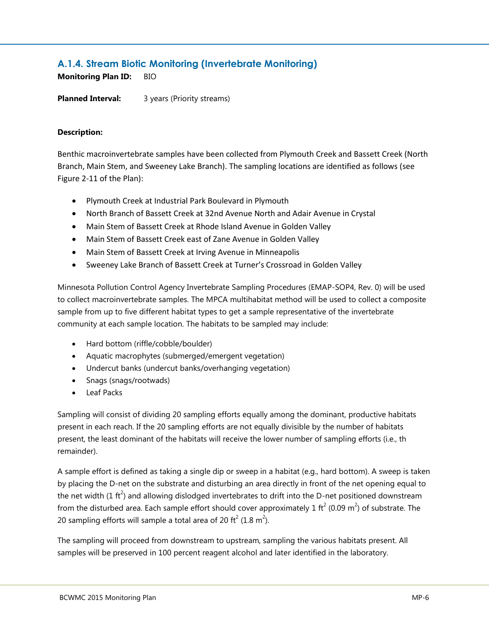# **A.1.4. Stream Biotic Monitoring (Invertebrate Monitoring)**

**Monitoring Plan ID:** BIO

**Planned Interval:** 3 years (Priority streams)

#### **Description:**

Benthic macroinvertebrate samples have been collected from Plymouth Creek and Bassett Creek (North Branch, Main Stem, and Sweeney Lake Branch). The sampling locations are identified as follows (see Figure 2-11 of the Plan):

- Plymouth Creek at Industrial Park Boulevard in Plymouth
- North Branch of Bassett Creek at 32nd Avenue North and Adair Avenue in Crystal
- Main Stem of Bassett Creek at Rhode Island Avenue in Golden Valley
- Main Stem of Bassett Creek east of Zane Avenue in Golden Valley
- Main Stem of Bassett Creek at Irving Avenue in Minneapolis
- Sweeney Lake Branch of Bassett Creek at Turner's Crossroad in Golden Valley

Minnesota Pollution Control Agency Invertebrate Sampling Procedures (EMAP-SOP4, Rev. 0) will be used to collect macroinvertebrate samples. The MPCA multihabitat method will be used to collect a composite sample from up to five different habitat types to get a sample representative of the invertebrate community at each sample location. The habitats to be sampled may include:

- Hard bottom (riffle/cobble/boulder)
- Aquatic macrophytes (submerged/emergent vegetation)
- Undercut banks (undercut banks/overhanging vegetation)
- Snags (snags/rootwads)
- Leaf Packs

Sampling will consist of dividing 20 sampling efforts equally among the dominant, productive habitats present in each reach. If the 20 sampling efforts are not equally divisible by the number of habitats present, the least dominant of the habitats will receive the lower number of sampling efforts (i.e., th remainder).

A sample effort is defined as taking a single dip or sweep in a habitat (e.g., hard bottom). A sweep is taken by placing the D-net on the substrate and disturbing an area directly in front of the net opening equal to the net width (1 ft<sup>2</sup>) and allowing dislodged invertebrates to drift into the D-net positioned downstream from the disturbed area. Each sample effort should cover approximately 1 ft<sup>2</sup> (0.09 m<sup>2</sup>) of substrate. The 20 sampling efforts will sample a total area of 20 ft<sup>2</sup> (1.8 m<sup>2</sup>).

The sampling will proceed from downstream to upstream, sampling the various habitats present. All samples will be preserved in 100 percent reagent alcohol and later identified in the laboratory.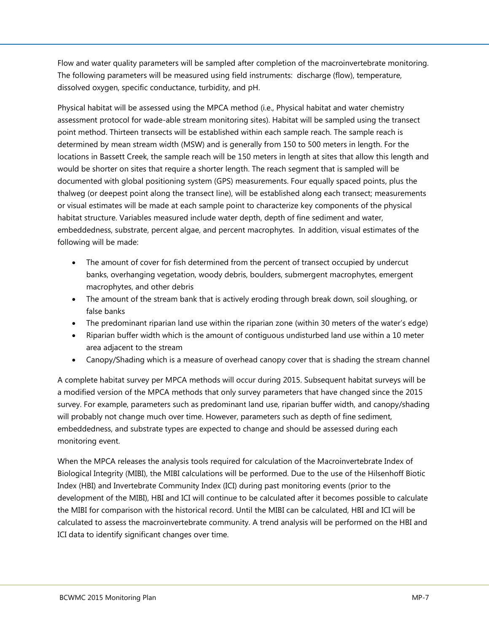Flow and water quality parameters will be sampled after completion of the macroinvertebrate monitoring. The following parameters will be measured using field instruments: discharge (flow), temperature, dissolved oxygen, specific conductance, turbidity, and pH.

Physical habitat will be assessed using the MPCA method (i.e., Physical habitat and water chemistry assessment protocol for wade-able stream monitoring sites). Habitat will be sampled using the transect point method. Thirteen transects will be established within each sample reach. The sample reach is determined by mean stream width (MSW) and is generally from 150 to 500 meters in length. For the locations in Bassett Creek, the sample reach will be 150 meters in length at sites that allow this length and would be shorter on sites that require a shorter length. The reach segment that is sampled will be documented with global positioning system (GPS) measurements. Four equally spaced points, plus the thalweg (or deepest point along the transect line), will be established along each transect; measurements or visual estimates will be made at each sample point to characterize key components of the physical habitat structure. Variables measured include water depth, depth of fine sediment and water, embeddedness, substrate, percent algae, and percent macrophytes. In addition, visual estimates of the following will be made:

- The amount of cover for fish determined from the percent of transect occupied by undercut banks, overhanging vegetation, woody debris, boulders, submergent macrophytes, emergent macrophytes, and other debris
- The amount of the stream bank that is actively eroding through break down, soil sloughing, or false banks
- The predominant riparian land use within the riparian zone (within 30 meters of the water's edge)
- Riparian buffer width which is the amount of contiguous undisturbed land use within a 10 meter area adjacent to the stream
- Canopy/Shading which is a measure of overhead canopy cover that is shading the stream channel

A complete habitat survey per MPCA methods will occur during 2015. Subsequent habitat surveys will be a modified version of the MPCA methods that only survey parameters that have changed since the 2015 survey. For example, parameters such as predominant land use, riparian buffer width, and canopy/shading will probably not change much over time. However, parameters such as depth of fine sediment, embeddedness, and substrate types are expected to change and should be assessed during each monitoring event.

When the MPCA releases the analysis tools required for calculation of the Macroinvertebrate Index of Biological Integrity (MIBI), the MIBI calculations will be performed. Due to the use of the Hilsenhoff Biotic Index (HBI) and Invertebrate Community Index (ICI) during past monitoring events (prior to the development of the MIBI), HBI and ICI will continue to be calculated after it becomes possible to calculate the MIBI for comparison with the historical record. Until the MIBI can be calculated, HBI and ICI will be calculated to assess the macroinvertebrate community. A trend analysis will be performed on the HBI and ICI data to identify significant changes over time.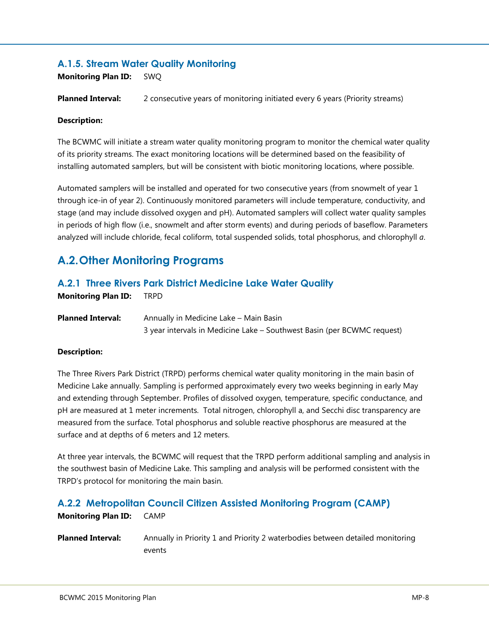## **A.1.5. Stream Water Quality Monitoring**

**Monitoring Plan ID:** SWQ

**Planned Interval:** 2 consecutive years of monitoring initiated every 6 years (Priority streams)

#### **Description:**

The BCWMC will initiate a stream water quality monitoring program to monitor the chemical water quality of its priority streams. The exact monitoring locations will be determined based on the feasibility of installing automated samplers, but will be consistent with biotic monitoring locations, where possible.

Automated samplers will be installed and operated for two consecutive years (from snowmelt of year 1 through ice-in of year 2). Continuously monitored parameters will include temperature, conductivity, and stage (and may include dissolved oxygen and pH). Automated samplers will collect water quality samples in periods of high flow (i.e., snowmelt and after storm events) and during periods of baseflow. Parameters analyzed will include chloride, fecal coliform, total suspended solids, total phosphorus, and chlorophyll *a*.

# **A.2.Other Monitoring Programs**

### **A.2.1 Three Rivers Park District Medicine Lake Water Quality**

**Monitoring Plan ID:** TRPD

| <b>Planned Interval:</b> | Annually in Medicine Lake - Main Basin                                  |
|--------------------------|-------------------------------------------------------------------------|
|                          | 3 year intervals in Medicine Lake – Southwest Basin (per BCWMC request) |

#### **Description:**

The Three Rivers Park District (TRPD) performs chemical water quality monitoring in the main basin of Medicine Lake annually. Sampling is performed approximately every two weeks beginning in early May and extending through September. Profiles of dissolved oxygen, temperature, specific conductance, and pH are measured at 1 meter increments. Total nitrogen, chlorophyll a, and Secchi disc transparency are measured from the surface. Total phosphorus and soluble reactive phosphorus are measured at the surface and at depths of 6 meters and 12 meters.

At three year intervals, the BCWMC will request that the TRPD perform additional sampling and analysis in the southwest basin of Medicine Lake. This sampling and analysis will be performed consistent with the TRPD's protocol for monitoring the main basin.

### **A.2.2 Metropolitan Council Citizen Assisted Monitoring Program (CAMP)**

**Monitoring Plan ID:** CAMP

**Planned Interval:** Annually in Priority 1 and Priority 2 waterbodies between detailed monitoring events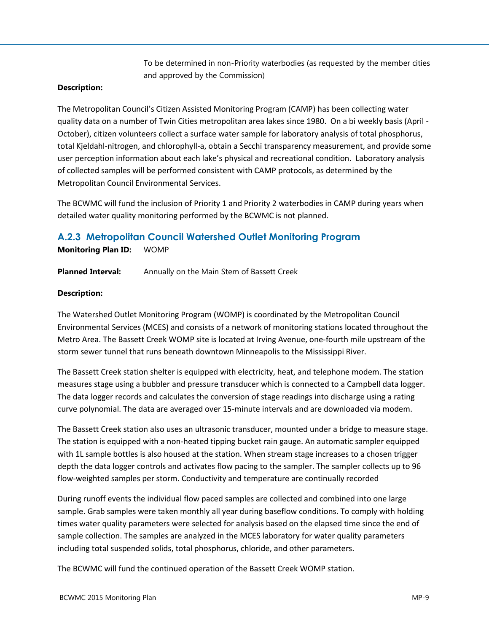To be determined in non-Priority waterbodies (as requested by the member cities and approved by the Commission)

### **Description:**

The Metropolitan Council's Citizen Assisted Monitoring Program (CAMP) has been collecting water quality data on a number of Twin Cities metropolitan area lakes since 1980. On a bi weekly basis (April - October), citizen volunteers collect a surface water sample for laboratory analysis of total phosphorus, total Kjeldahl-nitrogen, and chlorophyll-a, obtain a Secchi transparency measurement, and provide some user perception information about each lake's physical and recreational condition. Laboratory analysis of collected samples will be performed consistent with CAMP protocols, as determined by the Metropolitan Council Environmental Services.

The BCWMC will fund the inclusion of Priority 1 and Priority 2 waterbodies in CAMP during years when detailed water quality monitoring performed by the BCWMC is not planned.

## **A.2.3 Metropolitan Council Watershed Outlet Monitoring Program**

**Monitoring Plan ID:** WOMP

**Planned Interval:** Annually on the Main Stem of Bassett Creek

### **Description:**

The Watershed Outlet Monitoring Program (WOMP) is coordinated by the Metropolitan Council Environmental Services (MCES) and consists of a network of monitoring stations located throughout the Metro Area. The Bassett Creek WOMP site is located at Irving Avenue, one-fourth mile upstream of the storm sewer tunnel that runs beneath downtown Minneapolis to the Mississippi River.

The Bassett Creek station shelter is equipped with electricity, heat, and telephone modem. The station measures stage using a bubbler and pressure transducer which is connected to a Campbell data logger. The data logger records and calculates the conversion of stage readings into discharge using a rating curve polynomial. The data are averaged over 15-minute intervals and are downloaded via modem.

The Bassett Creek station also uses an ultrasonic transducer, mounted under a bridge to measure stage. The station is equipped with a non-heated tipping bucket rain gauge. An automatic sampler equipped with 1L sample bottles is also housed at the station. When stream stage increases to a chosen trigger depth the data logger controls and activates flow pacing to the sampler. The sampler collects up to 96 flow-weighted samples per storm. Conductivity and temperature are continually recorded

During runoff events the individual flow paced samples are collected and combined into one large sample. Grab samples were taken monthly all year during baseflow conditions. To comply with holding times water quality parameters were selected for analysis based on the elapsed time since the end of sample collection. The samples are analyzed in the MCES laboratory for water quality parameters including total suspended solids, total phosphorus, chloride, and other parameters.

The BCWMC will fund the continued operation of the Bassett Creek WOMP station.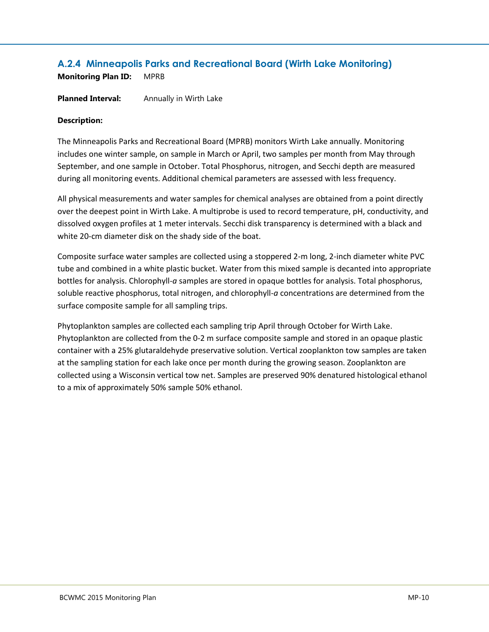# **A.2.4 Minneapolis Parks and Recreational Board (Wirth Lake Monitoring)**

**Monitoring Plan ID:** MPRB

**Planned Interval:** Annually in Wirth Lake

### **Description:**

The Minneapolis Parks and Recreational Board (MPRB) monitors Wirth Lake annually. Monitoring includes one winter sample, on sample in March or April, two samples per month from May through September, and one sample in October. Total Phosphorus, nitrogen, and Secchi depth are measured during all monitoring events. Additional chemical parameters are assessed with less frequency.

All physical measurements and water samples for chemical analyses are obtained from a point directly over the deepest point in Wirth Lake. A multiprobe is used to record temperature, pH, conductivity, and dissolved oxygen profiles at 1 meter intervals. Secchi disk transparency is determined with a black and white 20-cm diameter disk on the shady side of the boat.

Composite surface water samples are collected using a stoppered 2-m long, 2-inch diameter white PVC tube and combined in a white plastic bucket. Water from this mixed sample is decanted into appropriate bottles for analysis. Chlorophyll-*a* samples are stored in opaque bottles for analysis. Total phosphorus, soluble reactive phosphorus, total nitrogen, and chlorophyll-*a* concentrations are determined from the surface composite sample for all sampling trips.

Phytoplankton samples are collected each sampling trip April through October for Wirth Lake. Phytoplankton are collected from the 0-2 m surface composite sample and stored in an opaque plastic container with a 25% glutaraldehyde preservative solution. Vertical zooplankton tow samples are taken at the sampling station for each lake once per month during the growing season. Zooplankton are collected using a Wisconsin vertical tow net. Samples are preserved 90% denatured histological ethanol to a mix of approximately 50% sample 50% ethanol.